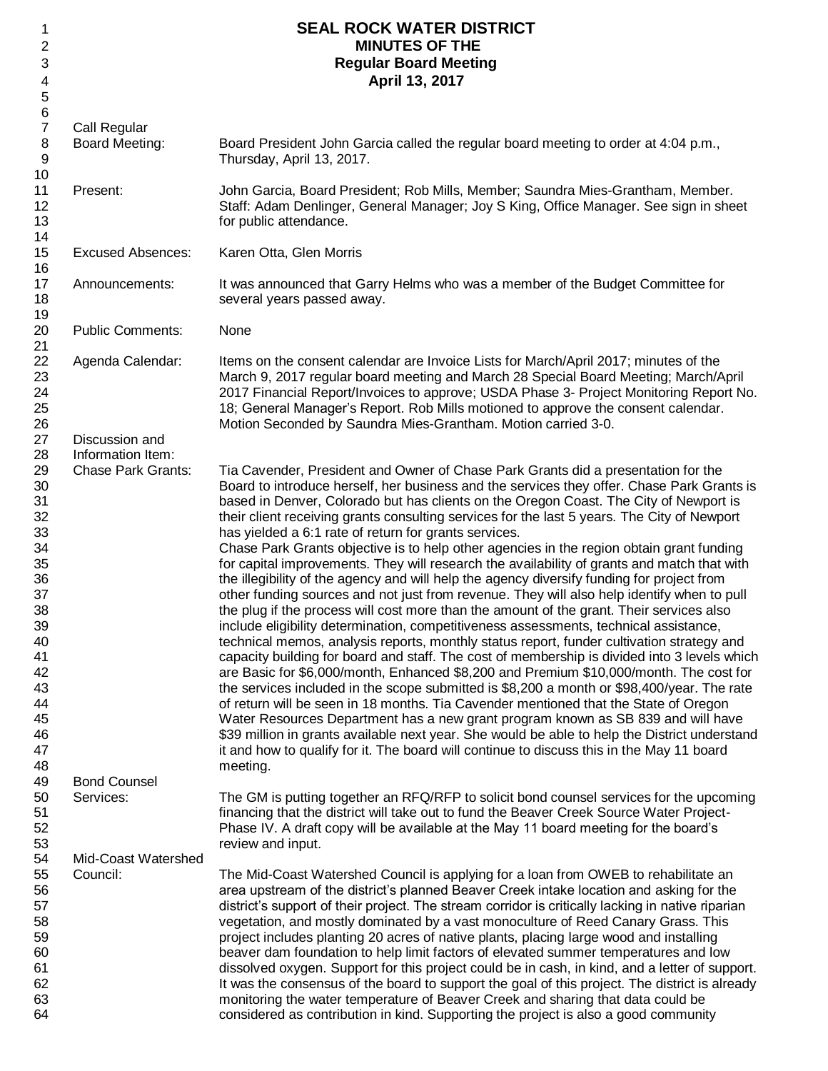| 1              |                           | <b>SEAL ROCK WATER DISTRICT</b>                                                                                                                                                                  |
|----------------|---------------------------|--------------------------------------------------------------------------------------------------------------------------------------------------------------------------------------------------|
| 2              |                           | <b>MINUTES OF THE</b>                                                                                                                                                                            |
| 3<br>4         |                           | <b>Regular Board Meeting</b><br>April 13, 2017                                                                                                                                                   |
| 5              |                           |                                                                                                                                                                                                  |
| 6              |                           |                                                                                                                                                                                                  |
| $\overline{7}$ | Call Regular              |                                                                                                                                                                                                  |
| 8              | <b>Board Meeting:</b>     | Board President John Garcia called the regular board meeting to order at 4:04 p.m.,                                                                                                              |
| 9<br>10        |                           | Thursday, April 13, 2017.                                                                                                                                                                        |
| 11             | Present:                  | John Garcia, Board President; Rob Mills, Member; Saundra Mies-Grantham, Member.                                                                                                                  |
| 12             |                           | Staff: Adam Denlinger, General Manager; Joy S King, Office Manager. See sign in sheet                                                                                                            |
| 13             |                           | for public attendance.                                                                                                                                                                           |
| 14             |                           |                                                                                                                                                                                                  |
| 15             | <b>Excused Absences:</b>  | Karen Otta, Glen Morris                                                                                                                                                                          |
| 16<br>17       | Announcements:            | It was announced that Garry Helms who was a member of the Budget Committee for                                                                                                                   |
| 18             |                           | several years passed away.                                                                                                                                                                       |
| 19             |                           |                                                                                                                                                                                                  |
| 20             | <b>Public Comments:</b>   | None                                                                                                                                                                                             |
| 21             |                           |                                                                                                                                                                                                  |
| 22             | Agenda Calendar:          | Items on the consent calendar are Invoice Lists for March/April 2017; minutes of the                                                                                                             |
| 23<br>24       |                           | March 9, 2017 regular board meeting and March 28 Special Board Meeting; March/April<br>2017 Financial Report/Invoices to approve; USDA Phase 3- Project Monitoring Report No.                    |
| 25             |                           | 18; General Manager's Report. Rob Mills motioned to approve the consent calendar.                                                                                                                |
| 26             |                           | Motion Seconded by Saundra Mies-Grantham. Motion carried 3-0.                                                                                                                                    |
| 27             | Discussion and            |                                                                                                                                                                                                  |
| 28             | Information Item:         |                                                                                                                                                                                                  |
| 29<br>30       | <b>Chase Park Grants:</b> | Tia Cavender, President and Owner of Chase Park Grants did a presentation for the<br>Board to introduce herself, her business and the services they offer. Chase Park Grants is                  |
| 31             |                           | based in Denver, Colorado but has clients on the Oregon Coast. The City of Newport is                                                                                                            |
| 32             |                           | their client receiving grants consulting services for the last 5 years. The City of Newport                                                                                                      |
| 33             |                           | has yielded a 6:1 rate of return for grants services.                                                                                                                                            |
| 34             |                           | Chase Park Grants objective is to help other agencies in the region obtain grant funding                                                                                                         |
| 35             |                           | for capital improvements. They will research the availability of grants and match that with                                                                                                      |
| 36<br>37       |                           | the illegibility of the agency and will help the agency diversify funding for project from<br>other funding sources and not just from revenue. They will also help identify when to pull         |
| 38             |                           | the plug if the process will cost more than the amount of the grant. Their services also                                                                                                         |
| 39             |                           | include eligibility determination, competitiveness assessments, technical assistance,                                                                                                            |
| 40             |                           | technical memos, analysis reports, monthly status report, funder cultivation strategy and                                                                                                        |
| 41             |                           | capacity building for board and staff. The cost of membership is divided into 3 levels which                                                                                                     |
| 42<br>43       |                           | are Basic for \$6,000/month, Enhanced \$8,200 and Premium \$10,000/month. The cost for<br>the services included in the scope submitted is \$8,200 a month or \$98,400/year. The rate             |
| 44             |                           | of return will be seen in 18 months. Tia Cavender mentioned that the State of Oregon                                                                                                             |
| 45             |                           | Water Resources Department has a new grant program known as SB 839 and will have                                                                                                                 |
| 46             |                           | \$39 million in grants available next year. She would be able to help the District understand                                                                                                    |
| 47             |                           | it and how to qualify for it. The board will continue to discuss this in the May 11 board                                                                                                        |
| 48<br>49       | <b>Bond Counsel</b>       | meeting.                                                                                                                                                                                         |
| 50             | Services:                 | The GM is putting together an RFQ/RFP to solicit bond counsel services for the upcoming                                                                                                          |
| 51             |                           | financing that the district will take out to fund the Beaver Creek Source Water Project-                                                                                                         |
| 52             |                           | Phase IV. A draft copy will be available at the May 11 board meeting for the board's                                                                                                             |
| 53             |                           | review and input.                                                                                                                                                                                |
| 54             | Mid-Coast Watershed       |                                                                                                                                                                                                  |
| 55<br>56       | Council:                  | The Mid-Coast Watershed Council is applying for a loan from OWEB to rehabilitate an<br>area upstream of the district's planned Beaver Creek intake location and asking for the                   |
| 57             |                           | district's support of their project. The stream corridor is critically lacking in native riparian                                                                                                |
| 58             |                           | vegetation, and mostly dominated by a vast monoculture of Reed Canary Grass. This                                                                                                                |
| 59             |                           | project includes planting 20 acres of native plants, placing large wood and installing                                                                                                           |
| 60             |                           | beaver dam foundation to help limit factors of elevated summer temperatures and low                                                                                                              |
| 61<br>62       |                           | dissolved oxygen. Support for this project could be in cash, in kind, and a letter of support.<br>It was the consensus of the board to support the goal of this project. The district is already |
| 63             |                           | monitoring the water temperature of Beaver Creek and sharing that data could be                                                                                                                  |
| 64             |                           | considered as contribution in kind. Supporting the project is also a good community                                                                                                              |